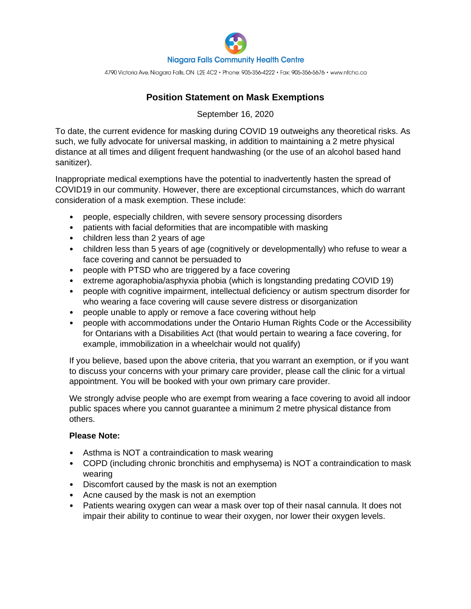

4790 Victoria Ave, Niagara Falls, ON L2E 4C2 · Phone: 905-356-4222 · Fax: 905-356-5676 · www.nfchc.ca

## **Position Statement on Mask Exemptions**

September 16, 2020

To date, the current evidence for masking during COVID 19 outweighs any theoretical risks. As such, we fully advocate for universal masking, in addition to maintaining a 2 metre physical distance at all times and diligent frequent handwashing (or the use of an alcohol based hand sanitizer).

Inappropriate medical exemptions have the potential to inadvertently hasten the spread of COVID19 in our community. However, there are exceptional circumstances, which do warrant consideration of a mask exemption. These include:

- people, especially children, with severe sensory processing disorders
- patients with facial deformities that are incompatible with masking
- children less than 2 years of age
- children less than 5 years of age (cognitively or developmentally) who refuse to wear a face covering and cannot be persuaded to
- people with PTSD who are triggered by a face covering
- extreme agoraphobia/asphyxia phobia (which is longstanding predating COVID 19)
- people with cognitive impairment, intellectual deficiency or autism spectrum disorder for who wearing a face covering will cause severe distress or disorganization
- people unable to apply or remove a face covering without help
- people with accommodations under the Ontario Human Rights Code or the Accessibility for Ontarians with a Disabilities Act (that would pertain to wearing a face covering, for example, immobilization in a wheelchair would not qualify)

If you believe, based upon the above criteria, that you warrant an exemption, or if you want to discuss your concerns with your primary care provider, please call the clinic for a virtual appointment. You will be booked with your own primary care provider.

We strongly advise people who are exempt from wearing a face covering to avoid all indoor public spaces where you cannot guarantee a minimum 2 metre physical distance from others.

## **Please Note:**

- Asthma is NOT a contraindication to mask wearing
- COPD (including chronic bronchitis and emphysema) is NOT a contraindication to mask wearing
- Discomfort caused by the mask is not an exemption
- Acne caused by the mask is not an exemption
- Patients wearing oxygen can wear a mask over top of their nasal cannula. It does not impair their ability to continue to wear their oxygen, nor lower their oxygen levels.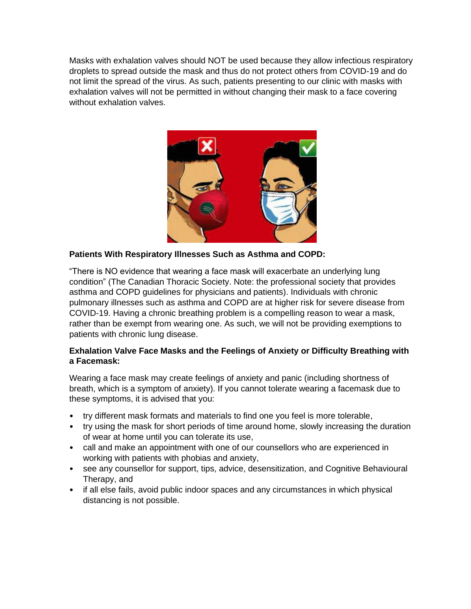Masks with exhalation valves should NOT be used because they allow infectious respiratory droplets to spread outside the mask and thus do not protect others from COVID-19 and do not limit the spread of the virus. As such, patients presenting to our clinic with masks with exhalation valves will not be permitted in without changing their mask to a face covering without exhalation valves.



## **Patients With Respiratory Illnesses Such as Asthma and COPD:**

"There is NO evidence that wearing a face mask will exacerbate an underlying lung condition" (The Canadian Thoracic Society. Note: the professional society that provides asthma and COPD guidelines for physicians and patients). Individuals with chronic pulmonary illnesses such as asthma and COPD are at higher risk for severe disease from COVID-19. Having a chronic breathing problem is a compelling reason to wear a mask, rather than be exempt from wearing one. As such, we will not be providing exemptions to patients with chronic lung disease.

## **Exhalation Valve Face Masks and the Feelings of Anxiety or Difficulty Breathing with a Facemask:**

Wearing a face mask may create feelings of anxiety and panic (including shortness of breath, which is a symptom of anxiety). If you cannot tolerate wearing a facemask due to these symptoms, it is advised that you:

- try different mask formats and materials to find one you feel is more tolerable,
- try using the mask for short periods of time around home, slowly increasing the duration of wear at home until you can tolerate its use,
- call and make an appointment with one of our counsellors who are experienced in working with patients with phobias and anxiety,
- see any counsellor for support, tips, advice, desensitization, and Cognitive Behavioural Therapy, and
- if all else fails, avoid public indoor spaces and any circumstances in which physical distancing is not possible.